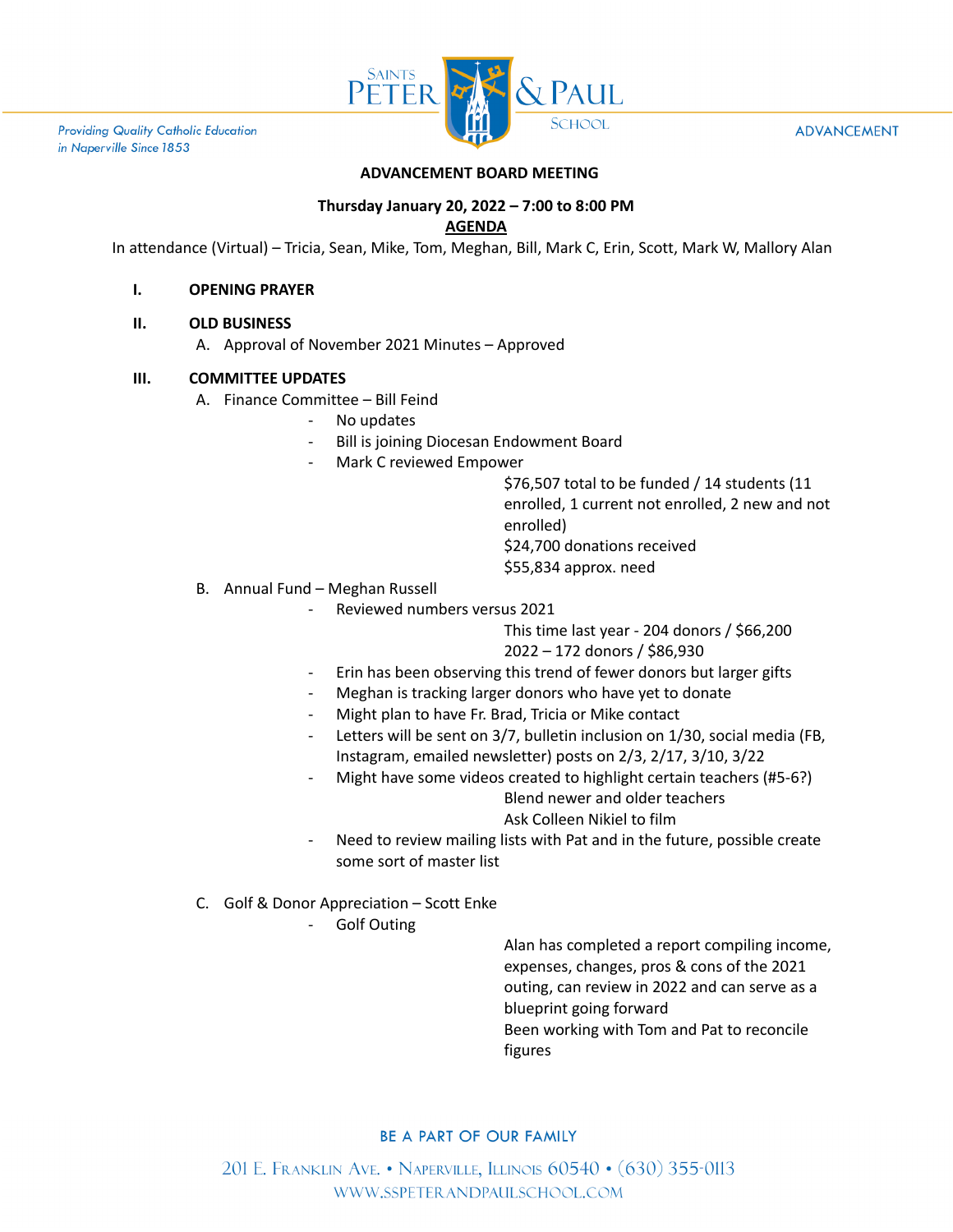

**Providing Quality Catholic Education** in Naperville Since 1853

#### **ADVANCEMENT**

### **ADVANCEMENT BOARD MEETING**

# **Thursday January 20, 2022 – 7:00 to 8:00 PM**

### **AGENDA**

In attendance (Virtual) – Tricia, Sean, Mike, Tom, Meghan, Bill, Mark C, Erin, Scott, Mark W, Mallory Alan

#### **I. OPENING PRAYER**

#### **II. OLD BUSINESS**

A. Approval of November 2021 Minutes – Approved

### **III. COMMITTEE UPDATES**

- A. Finance Committee Bill Feind
	- No updates
	- Bill is joining Diocesan Endowment Board
	- Mark C reviewed Empower

\$76,507 total to be funded / 14 students (11 enrolled, 1 current not enrolled, 2 new and not enrolled) \$24,700 donations received \$55,834 approx. need

- B. Annual Fund Meghan Russell
	- Reviewed numbers versus 2021

This time last year - 204 donors / \$66,200 2022 – 172 donors / \$86,930

- Erin has been observing this trend of fewer donors but larger gifts
- Meghan is tracking larger donors who have yet to donate
- Might plan to have Fr. Brad, Tricia or Mike contact
- Letters will be sent on 3/7, bulletin inclusion on 1/30, social media (FB, Instagram, emailed newsletter) posts on 2/3, 2/17, 3/10, 3/22
- Might have some videos created to highlight certain teachers (#5-6?) Blend newer and older teachers

Ask Colleen Nikiel to film

- Need to review mailing lists with Pat and in the future, possible create some sort of master list
- C. Golf & Donor Appreciation Scott Enke
	- Golf Outing

Alan has completed a report compiling income, expenses, changes, pros & cons of the 2021 outing, can review in 2022 and can serve as a blueprint going forward Been working with Tom and Pat to reconcile figures

#### BE A PART OF OUR FAMILY

201 E. FRANKLIN AVE. • NAPERVILLE, ILLINOIS 60540 • (630) 355-0113 WWW.SSPETERANDPAULSCHOOL.COM